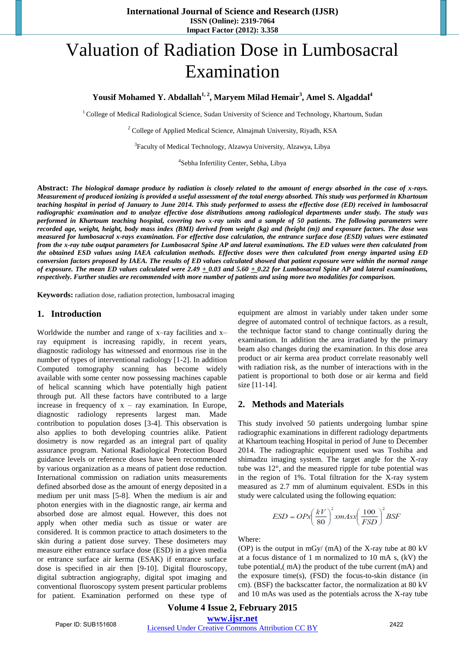# Valuation of Radiation Dose in Lumbosacral Examination

# **Yousif Mohamed Y. Abdallah1, 2 , Maryem Milad Hemair<sup>3</sup> , Amel S. Algaddal<sup>4</sup>**

<sup>1</sup> College of Medical Radiological Science, Sudan University of Science and Technology, Khartoum, Sudan

<sup>2</sup> College of Applied Medical Science, Almajmah University, Riyadh, KSA

3 Faculty of Medical Technology, Alzawya University, Alzawya, Libya

4 Sebha Infertility Center, Sebha, Libya

**Abstract:** *The biological damage produce by radiation is closely related to the amount of energy absorbed in the case of x-rays. Measurement of produced ionizing is provided a useful assessment of the total energy absorbed. This study was performed in Khartoum teaching hospital in period of January to June 2014. This study performed to assess the effective dose (ED) received in lumbosacral radiographic examination and to analyze effective dose distributions among radiological departments under study. The study was performed in Khartoum teaching hospital, covering two x-ray units and a sample of 50 patients. The following parameters were recorded age, weight, height, body mass index (BMI) derived from weight (kg) and (height (m)) and exposure factors. The dose was measured for lumbosacral x-rays examination. For effective dose calculation, the entrance surface dose (ESD) values were estimated from the x-ray tube output parameters for Lumbosacral Spine AP and lateral examinations. The ED values were then calculated from the obtained ESD values using IAEA calculation methods. Effective doses were then calculated from energy imparted using ED conversion factors proposed by IAEA. The results of ED values calculated showed that patient exposure were within the normal range of exposure. The mean ED values calculated were 2.49*  $+$  *0.03 and 5.60*  $+$  *0.22 for Lumbosacral Spine AP and lateral examinations, respectively. Further studies are recommended with more number of patients and using more two modalities for comparison.* 

**Keywords:** radiation dose, radiation protection, lumbosacral imaging

#### **1. Introduction**

Worldwide the number and range of x–ray facilities and x– ray equipment is increasing rapidly, in recent years, diagnostic radiology has witnessed and enormous rise in the number of types of interventional radiology [1-2]. In addition Computed tomography scanning has become widely available with some center now possessing machines capable of helical scanning which have potentially high patient through put. All these factors have contributed to a large increase in frequency of  $x - ray$  examination. In Europe, diagnostic radiology represents largest man. Made contribution to population doses [3-4]. This observation is also applies to both developing countries alike. Patient dosimetry is now regarded as an integral part of quality assurance program. National Radiological Protection Board guidance levels or reference doses have been recommended by various organization as a means of patient dose reduction. International commission on radiation units measurements defined absorbed dose as the amount of energy deposited in a medium per unit mass [5-8]. When the medium is air and photon energies with in the diagnostic range, air kerma and absorbed dose are almost equal. However, this does not apply when other media such as tissue or water are considered. It is common practice to attach dosimeters to the skin during a patient dose survey. These dosimeters may measure either entrance surface dose (ESD) in a given media or entrance surface air kerma (ESAK) if entrance surface dose is specified in air then [9-10]. Digital flouroscopy, digital subtraction angiography, digital spot imaging and conventional fluoroscopy system present particular problems for patient. Examination performed on these type of equipment are almost in variably under taken under some degree of automated control of technique factors. as a result, the technique factor stand to change continually during the examination. In addition the area irradiated by the primary beam also changes during the examination. In this dose area product or air kerma area product correlate reasonably well with radiation risk, as the number of interactions with in the patient is proportional to both dose or air kerma and field size [11-14].

#### **2. Methods and Materials**

This study involved 50 patients undergoing lumbar spine radiographic examinations in different radiology departments at Khartoum teaching Hospital in period of June to December 2014. The radiographic equipment used was Toshiba and shimadzu imaging system. The target angle for the X-ray tube was 12°, and the measured ripple for tube potential was in the region of 1%. Total filtration for the X-ray system measured as 2.7 mm of aluminum equivalent. ESDs in this study were calculated using the following equation:

$$
ESD = OPx \left(\frac{kV}{80}\right)^2 x mAsx \left(\frac{100}{FSD}\right)^2 BSF
$$

Where:

(OP) is the output in mGy/ (mA) of the X-ray tube at 80 kV at a focus distance of 1 m normalized to 10 mA s, (kV) the tube potential,( mA) the product of the tube current (mA) and the exposure time $(s)$ ,  $(FSD)$  the focus-to-skin distance (in cm). (BSF) the backscatter factor, the normalization at 80 kV and 10 mAs was used as the potentials across the X-ray tube

### **Volume 4 Issue 2, February 2015 www.ijsr.net**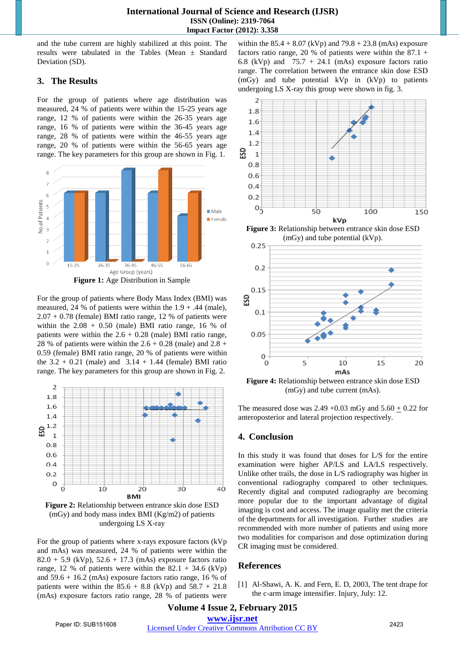and the tube current are highly stabilized at this point. The results were tabulated in the Tables (Mean ± Standard Deviation (SD).

#### **3. The Results**

For the group of patients where age distribution was measured, 24 % of patients were within the 15-25 years age range, 12 % of patients were within the 26-35 years age range, 16 % of patients were within the 36-45 years age range, 28 % of patients were within the 46-55 years age range, 20 % of patients were within the 56-65 years age range. The key parameters for this group are shown in Fig. 1.



For the group of patients where Body Mass Index (BMI) was measured, 24 % of patients were within the  $1.9 + .44$  (male),  $2.07 + 0.78$  (female) BMI ratio range, 12 % of patients were within the  $2.08 + 0.50$  (male) BMI ratio range, 16 % of patients were within the  $2.6 + 0.28$  (male) BMI ratio range, 28 % of patients were within the  $2.6 + 0.28$  (male) and  $2.8 +$ 0.59 (female) BMI ratio range, 20 % of patients were within the  $3.2 + 0.21$  (male) and  $3.14 + 1.44$  (female) BMI ratio range. The key parameters for this group are shown in Fig. 2.



**Figure 2:** Relationship between entrance skin dose ESD (mGy) and body mass index BMI (Kg/m2) of patients undergoing LS X-ray

For the group of patients where x-rays exposure factors (kVp and mAs) was measured, 24 % of patients were within the  $82.0 + 5.9$  (kVp),  $52.6 + 17.3$  (mAs) exposure factors ratio range, 12 % of patients were within the  $82.1 + 34.6$  (kVp) and 59.6 + 16.2 (mAs) exposure factors ratio range, 16 % of patients were within the  $85.6 + 8.8$  (kVp) and  $58.7 + 21.8$ (mAs) exposure factors ratio range, 28 % of patients were

within the  $85.4 + 8.07$  (kVp) and  $79.8 + 23.8$  (mAs) exposure factors ratio range, 20 % of patients were within the  $87.1 +$ 6.8 (kVp) and  $75.7 + 24.1$  (mAs) exposure factors ratio range. The correlation between the entrance skin dose ESD (mGy) and tube potential kVp in (kVp) to patients undergoing LS X-ray this group were shown in fig. 3.



**Figure 3:** Relationship between entrance skin dose ESD (mGy) and tube potential (kVp).



**Figure 4:** Relationship between entrance skin dose ESD (mGy) and tube current (mAs).

The measured dose was 2.49 +0.03 mGy and  $5.60 \pm 0.22$  for anteroposterior and lateral projection respectively.

#### **4. Conclusion**

In this study it was found that doses for L/S for the entire examination were higher AP/LS and LA/LS respectively. Unlike other trails, the dose in L/S radiography was higher in conventional radiography compared to other techniques. Recently digital and computed radiography are becoming more popular due to the important advantage of digital imaging is cost and access. The image quality met the criteria of the departments for all investigation. Further studies are recommended with more number of patients and using more two modalities for comparison and dose optimization during CR imaging must be considered.

#### **References**

[1] Al-Shawi, A. K. and Fern, E. D, 2003, The tent drape for the c-arm image intensifier. Injury, July: 12.

## **Volume 4 Issue 2, February 2015 www.ijsr.net**